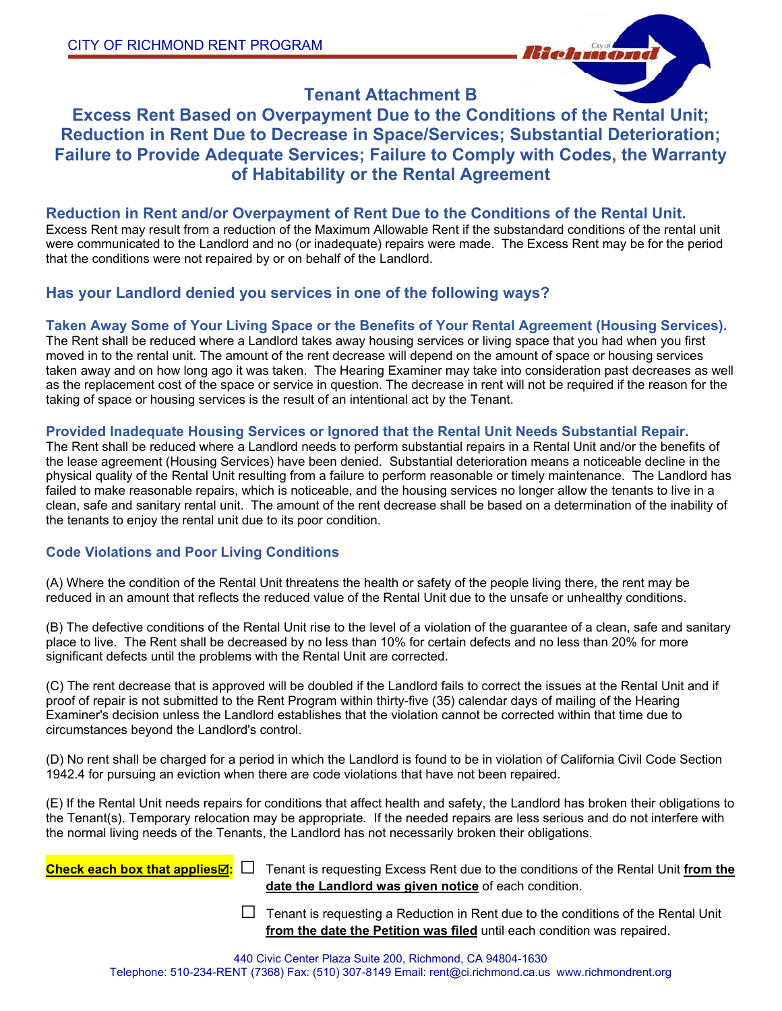

## **Tenant Attachment B**

# **Excess Rent Based on Overpayment Due to the Conditions of the Rental Unit; Reduction in Rent Due to Decrease in Space/Services; Substantial Deterioration; Failure to Provide Adequate Services; Failure to Comply with Codes, the Warranty of Habitability or the Rental Agreement**

## **Reduction in Rent and/or Overpayment of Rent Due to the Conditions of the Rental Unit.**

Excess Rent may result from a reduction of the Maximum Allowable Rent if the substandard conditions of the rental unit were communicated to the Landlord and no (or inadequate) repairs were made. The Excess Rent may be for the period that the conditions were not repaired by or on behalf of the Landlord.

## **Has your Landlord denied you services in one of the following ways?**

### **Taken Away Some of Your Living Space or the Benefits of Your Rental Agreement (Housing Services).**

The Rent shall be reduced where a Landlord takes away housing services or living space that you had when you first moved in to the rental unit. The amount of the rent decrease will depend on the amount of space or housing services taken away and on how long ago it was taken. The Hearing Examiner may take into consideration past decreases as well as the replacement cost of the space or service in question. The decrease in rent will not be required if the reason for the taking of space or housing services is the result of an intentional act by the Tenant.

### **Provided Inadequate Housing Services or Ignored that the Rental Unit Needs Substantial Repair.**

The Rent shall be reduced where a Landlord needs to perform substantial repairs in a Rental Unit and/or the benefits of the lease agreement (Housing Services) have been denied. Substantial deterioration means a noticeable decline in the physical quality of the Rental Unit resulting from a failure to perform reasonable or timely maintenance. The Landlord has failed to make reasonable repairs, which is noticeable, and the housing services no longer allow the tenants to live in a clean, safe and sanitary rental unit. The amount of the rent decrease shall be based on a determination of the inability of the tenants to enjoy the rental unit due to its poor condition.

## **Code Violations and Poor Living Conditions**

(A) Where the condition of the Rental Unit threatens the health or safety of the people living there, the rent may be reduced in an amount that reflects the reduced value of the Rental Unit due to the unsafe or unhealthy conditions.

(B) The defective conditions of the Rental Unit rise to the level of a violation of the guarantee of a clean, safe and sanitary place to live. The Rent shall be decreased by no less than 10% for certain defects and no less than 20% for more significant defects until the problems with the Rental Unit are corrected.

(C) The rent decrease that is approved will be doubled if the Landlord fails to correct the issues at the Rental Unit and if proof of repair is not submitted to the Rent Program within thirty-five (35) calendar days of mailing of the Hearing Examiner's decision unless the Landlord establishes that the violation cannot be corrected within that time due to circumstances beyond the Landlord's control.

(D) No rent shall be charged for a period in which the Landlord is found to be in violation of California Civil Code Section 1942.4 for pursuing an eviction when there are code violations that have not been repaired.

(E) If the Rental Unit needs repairs for conditions that affect health and safety, the Landlord has broken their obligations to the Tenant(s). Temporary relocation may be appropriate. If the needed repairs are less serious and do not interfere with the normal living needs of the Tenants, the Landlord has not necessarily broken their obligations.

**Check each box that applies:** ☐ Tenant is requesting Excess Rent due to the conditions of the Rental Unit **from the date the Landlord was given notice** of each condition.

> $\Box$  Tenant is requesting a Reduction in Rent due to the conditions of the Rental Unit **from the date the Petition was filed** until each condition was repaired.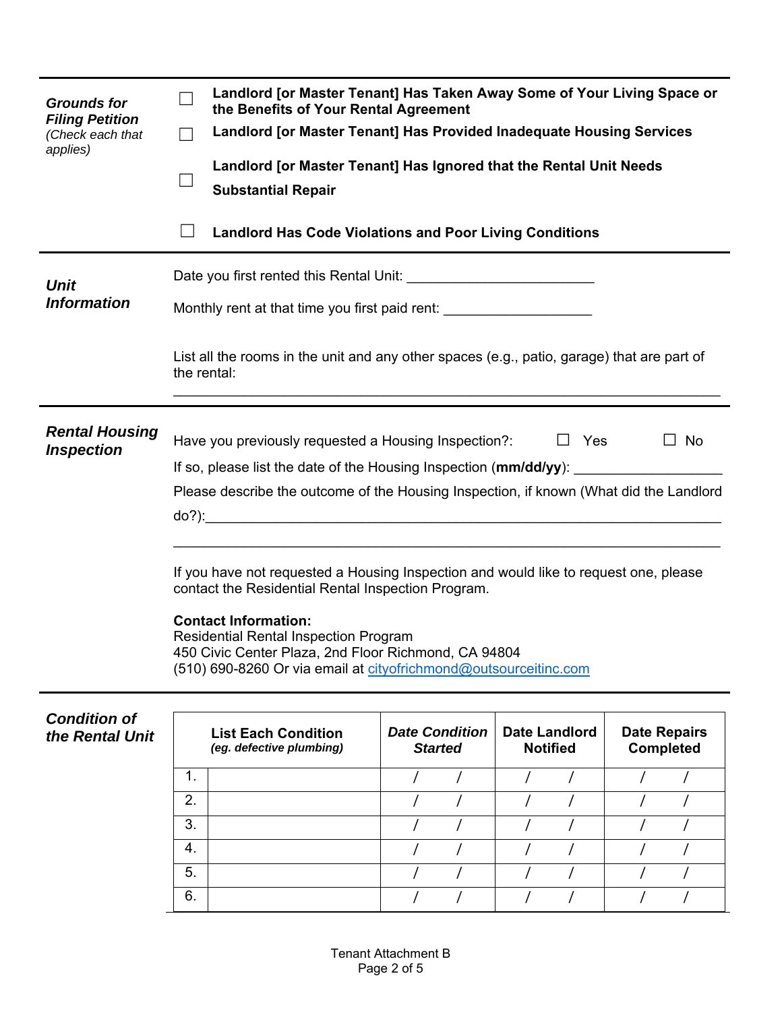| <b>Grounds for</b><br><b>Filing Petition</b><br>(Check each that<br>applies) | Landlord [or Master Tenant] Has Taken Away Some of Your Living Space or<br>the Benefits of Your Rental Agreement<br>Landlord [or Master Tenant] Has Provided Inadequate Housing Services<br>Landlord [or Master Tenant] Has Ignored that the Rental Unit Needs<br><b>Substantial Repair</b> |  |  |  |  |  |
|------------------------------------------------------------------------------|---------------------------------------------------------------------------------------------------------------------------------------------------------------------------------------------------------------------------------------------------------------------------------------------|--|--|--|--|--|
|                                                                              | <b>Landlord Has Code Violations and Poor Living Conditions</b>                                                                                                                                                                                                                              |  |  |  |  |  |
| <b>Unit</b>                                                                  |                                                                                                                                                                                                                                                                                             |  |  |  |  |  |
| <b>Information</b>                                                           | Monthly rent at that time you first paid rent: _________________________________                                                                                                                                                                                                            |  |  |  |  |  |
|                                                                              | List all the rooms in the unit and any other spaces (e.g., patio, garage) that are part of<br>the rental:                                                                                                                                                                                   |  |  |  |  |  |
| <b>Rental Housing</b><br><b>Inspection</b>                                   | Have you previously requested a Housing Inspection?:<br>$\Box$ Yes<br>$\Box$ No                                                                                                                                                                                                             |  |  |  |  |  |
|                                                                              | If so, please list the date of the Housing Inspection (mm/dd/yy):                                                                                                                                                                                                                           |  |  |  |  |  |
|                                                                              | Please describe the outcome of the Housing Inspection, if known (What did the Landlord                                                                                                                                                                                                      |  |  |  |  |  |
|                                                                              | If you have not requested a Housing Inspection and would like to request one, please<br>contact the Residential Rental Inspection Program.                                                                                                                                                  |  |  |  |  |  |
|                                                                              | <b>Contact Information:</b><br><b>Residential Rental Inspection Program</b><br>450 Civic Center Plaza, 2nd Floor Richmond, CA 94804                                                                                                                                                         |  |  |  |  |  |

(510) 690-8260 Or via email at cityofrichmond@outsourceitinc.com

| <b>Condition of</b><br>the Rental Unit | <b>List Each Condition</b><br>(eg. defective plumbing) |  | <b>Date Condition</b><br><b>Started</b> |  | <b>Date Landlord</b><br><b>Notified</b> |  | <b>Date Repairs</b><br>Completed |  |
|----------------------------------------|--------------------------------------------------------|--|-----------------------------------------|--|-----------------------------------------|--|----------------------------------|--|
|                                        | 4<br>т.                                                |  |                                         |  |                                         |  |                                  |  |
|                                        | 2.                                                     |  |                                         |  |                                         |  |                                  |  |
|                                        | 3.                                                     |  |                                         |  |                                         |  |                                  |  |
|                                        | 4.                                                     |  |                                         |  |                                         |  |                                  |  |
|                                        | 5.                                                     |  |                                         |  |                                         |  |                                  |  |
|                                        | 6.                                                     |  |                                         |  |                                         |  |                                  |  |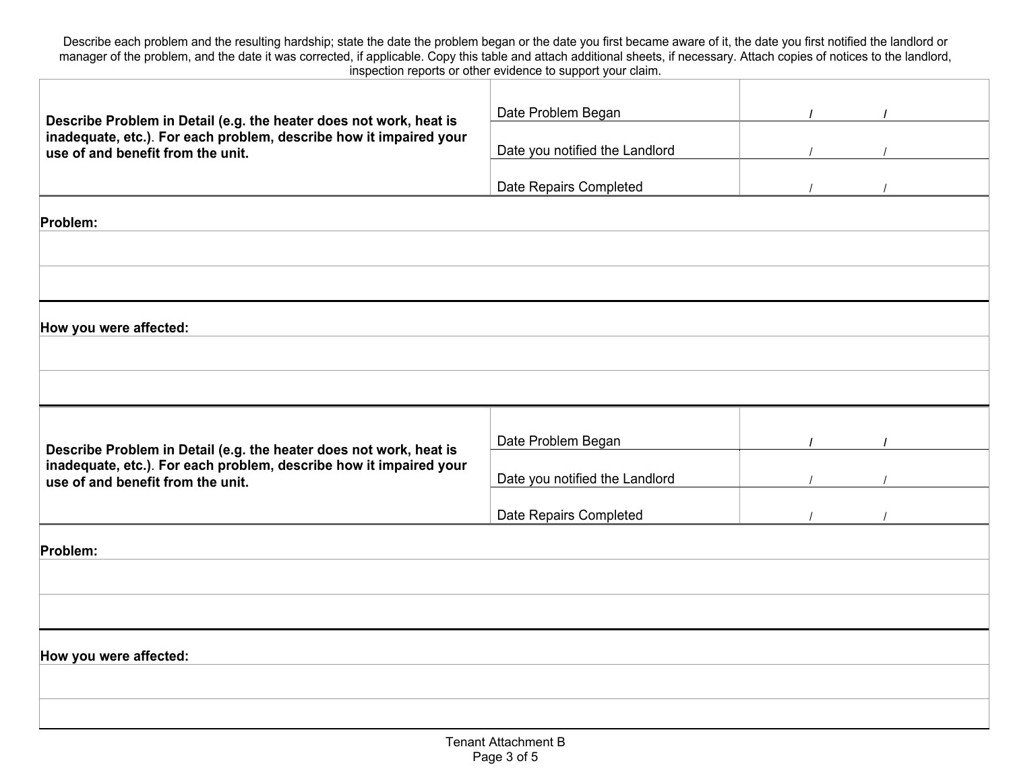Describe each problem and the resulting hardship; state the date the problem began or the date you first became aware of it, the date you first notified the landlord or manager of the problem, and the date it was corrected, if applicable. Copy this table and attach additional sheets, if necessary. Attach copies of notices to the landlord, inspection reports or other evidence to support your claim.

| Describe Problem in Detail (e.g. the heater does not work, heat is                                                                                                            | Date Problem Began             |  |
|-------------------------------------------------------------------------------------------------------------------------------------------------------------------------------|--------------------------------|--|
| inadequate, etc.). For each problem, describe how it impaired your<br>use of and benefit from the unit.                                                                       | Date you notified the Landlord |  |
|                                                                                                                                                                               | Date Repairs Completed         |  |
| Problem:                                                                                                                                                                      |                                |  |
|                                                                                                                                                                               |                                |  |
|                                                                                                                                                                               |                                |  |
| How you were affected:                                                                                                                                                        |                                |  |
|                                                                                                                                                                               |                                |  |
|                                                                                                                                                                               |                                |  |
|                                                                                                                                                                               | Date Problem Began             |  |
| Describe Problem in Detail (e.g. the heater does not work, heat is<br>inadequate, etc.). For each problem, describe how it impaired your<br>use of and benefit from the unit. | Date you notified the Landlord |  |
|                                                                                                                                                                               | Date Repairs Completed         |  |
| Problem:                                                                                                                                                                      |                                |  |
|                                                                                                                                                                               |                                |  |
|                                                                                                                                                                               |                                |  |
| How you were affected:                                                                                                                                                        |                                |  |
|                                                                                                                                                                               |                                |  |
|                                                                                                                                                                               |                                |  |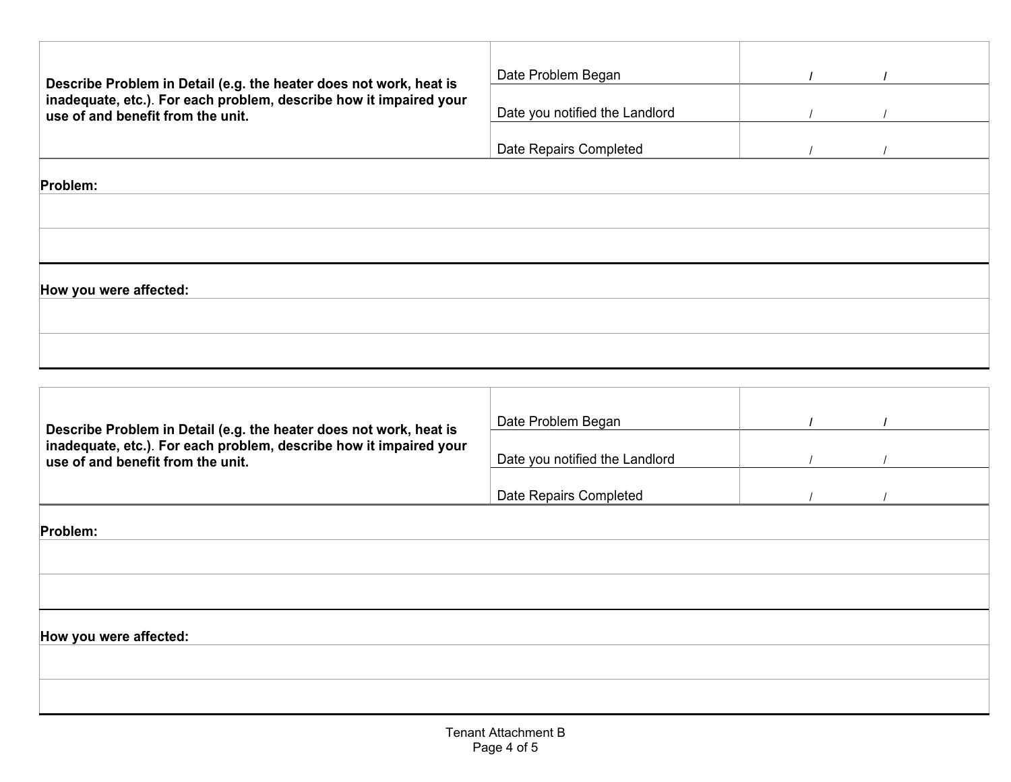| Describe Problem in Detail (e.g. the heater does not work, heat is | Date Problem Began             |  |
|--------------------------------------------------------------------|--------------------------------|--|
| inadequate, etc.). For each problem, describe how it impaired your |                                |  |
| use of and benefit from the unit.                                  | Date you notified the Landlord |  |
|                                                                    |                                |  |
|                                                                    | Date Repairs Completed         |  |
| Problem:                                                           |                                |  |
|                                                                    |                                |  |
|                                                                    |                                |  |
| How you were affected:                                             |                                |  |
|                                                                    |                                |  |
|                                                                    |                                |  |
|                                                                    |                                |  |
|                                                                    |                                |  |
|                                                                    |                                |  |
|                                                                    |                                |  |
|                                                                    |                                |  |

| Describe Problem in Detail (e.g. the heater does not work, heat is                                      | Date Problem Began             |  |  |
|---------------------------------------------------------------------------------------------------------|--------------------------------|--|--|
| inadequate, etc.). For each problem, describe how it impaired your<br>use of and benefit from the unit. | Date you notified the Landlord |  |  |
|                                                                                                         | Date Repairs Completed         |  |  |
| Problem:                                                                                                |                                |  |  |
|                                                                                                         |                                |  |  |
|                                                                                                         |                                |  |  |
| How you were affected:                                                                                  |                                |  |  |
|                                                                                                         |                                |  |  |
|                                                                                                         |                                |  |  |